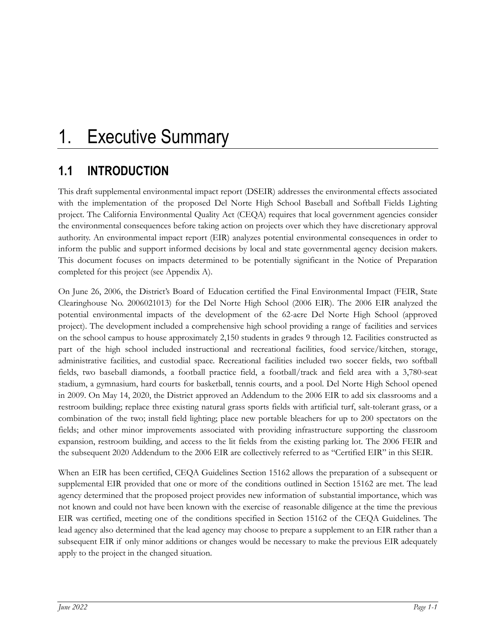# **1.1 INTRODUCTION**

This draft supplemental environmental impact report (DSEIR) addresses the environmental effects associated with the implementation of the proposed Del Norte High School Baseball and Softball Fields Lighting project. The California Environmental Quality Act (CEQA) requires that local government agencies consider the environmental consequences before taking action on projects over which they have discretionary approval authority. An environmental impact report (EIR) analyzes potential environmental consequences in order to inform the public and support informed decisions by local and state governmental agency decision makers. This document focuses on impacts determined to be potentially significant in the Notice of Preparation completed for this project (see Appendix A).

On June 26, 2006, the District's Board of Education certified the Final Environmental Impact (FEIR, State Clearinghouse No. 2006021013) for the Del Norte High School (2006 EIR). The 2006 EIR analyzed the potential environmental impacts of the development of the 62-acre Del Norte High School (approved project). The development included a comprehensive high school providing a range of facilities and services on the school campus to house approximately 2,150 students in grades 9 through 12. Facilities constructed as part of the high school included instructional and recreational facilities, food service/kitchen, storage, administrative facilities, and custodial space. Recreational facilities included two soccer fields, two softball fields, two baseball diamonds, a football practice field, a football/track and field area with a 3,780-seat stadium, a gymnasium, hard courts for basketball, tennis courts, and a pool. Del Norte High School opened in 2009. On May 14, 2020, the District approved an Addendum to the 2006 EIR to add six classrooms and a restroom building; replace three existing natural grass sports fields with artificial turf, salt-tolerant grass, or a combination of the two; install field lighting; place new portable bleachers for up to 200 spectators on the fields; and other minor improvements associated with providing infrastructure supporting the classroom expansion, restroom building, and access to the lit fields from the existing parking lot. The 2006 FEIR and the subsequent 2020 Addendum to the 2006 EIR are collectively referred to as "Certified EIR" in this SEIR.

When an EIR has been certified, CEQA Guidelines Section 15162 allows the preparation of a subsequent or supplemental EIR provided that one or more of the conditions outlined in Section 15162 are met. The lead agency determined that the proposed project provides new information of substantial importance, which was not known and could not have been known with the exercise of reasonable diligence at the time the previous EIR was certified, meeting one of the conditions specified in Section 15162 of the CEQA Guidelines. The lead agency also determined that the lead agency may choose to prepare a supplement to an EIR rather than a subsequent EIR if only minor additions or changes would be necessary to make the previous EIR adequately apply to the project in the changed situation.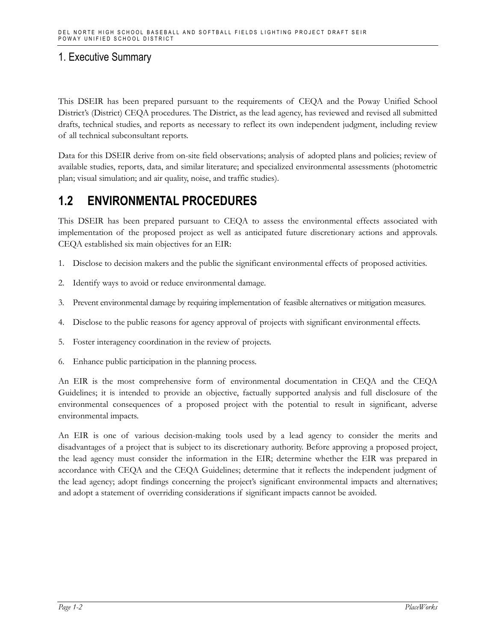This DSEIR has been prepared pursuant to the requirements of CEQA and the Poway Unified School District's (District) CEQA procedures. The District, as the lead agency, has reviewed and revised all submitted drafts, technical studies, and reports as necessary to reflect its own independent judgment, including review of all technical subconsultant reports.

Data for this DSEIR derive from on-site field observations; analysis of adopted plans and policies; review of available studies, reports, data, and similar literature; and specialized environmental assessments (photometric plan; visual simulation; and air quality, noise, and traffic studies).

### **1.2 ENVIRONMENTAL PROCEDURES**

This DSEIR has been prepared pursuant to CEQA to assess the environmental effects associated with implementation of the proposed project as well as anticipated future discretionary actions and approvals. CEQA established six main objectives for an EIR:

- 1. Disclose to decision makers and the public the significant environmental effects of proposed activities.
- 2. Identify ways to avoid or reduce environmental damage.
- 3. Prevent environmental damage by requiring implementation of feasible alternatives or mitigation measures.
- 4. Disclose to the public reasons for agency approval of projects with significant environmental effects.
- 5. Foster interagency coordination in the review of projects.
- 6. Enhance public participation in the planning process.

An EIR is the most comprehensive form of environmental documentation in CEQA and the CEQA Guidelines; it is intended to provide an objective, factually supported analysis and full disclosure of the environmental consequences of a proposed project with the potential to result in significant, adverse environmental impacts.

An EIR is one of various decision-making tools used by a lead agency to consider the merits and disadvantages of a project that is subject to its discretionary authority. Before approving a proposed project, the lead agency must consider the information in the EIR; determine whether the EIR was prepared in accordance with CEQA and the CEQA Guidelines; determine that it reflects the independent judgment of the lead agency; adopt findings concerning the project's significant environmental impacts and alternatives; and adopt a statement of overriding considerations if significant impacts cannot be avoided.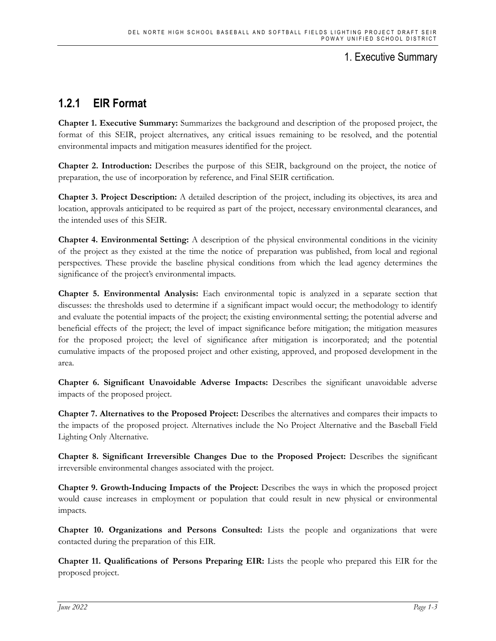## **1.2.1 EIR Format**

**Chapter 1. Executive Summary:** Summarizes the background and description of the proposed project, the format of this SEIR, project alternatives, any critical issues remaining to be resolved, and the potential environmental impacts and mitigation measures identified for the project.

**Chapter 2. Introduction:** Describes the purpose of this SEIR, background on the project, the notice of preparation, the use of incorporation by reference, and Final SEIR certification.

**Chapter 3. Project Description:** A detailed description of the project, including its objectives, its area and location, approvals anticipated to be required as part of the project, necessary environmental clearances, and the intended uses of this SEIR.

**Chapter 4. Environmental Setting:** A description of the physical environmental conditions in the vicinity of the project as they existed at the time the notice of preparation was published, from local and regional perspectives. These provide the baseline physical conditions from which the lead agency determines the significance of the project's environmental impacts.

**Chapter 5. Environmental Analysis:** Each environmental topic is analyzed in a separate section that discusses: the thresholds used to determine if a significant impact would occur; the methodology to identify and evaluate the potential impacts of the project; the existing environmental setting; the potential adverse and beneficial effects of the project; the level of impact significance before mitigation; the mitigation measures for the proposed project; the level of significance after mitigation is incorporated; and the potential cumulative impacts of the proposed project and other existing, approved, and proposed development in the area.

**Chapter 6. Significant Unavoidable Adverse Impacts:** Describes the significant unavoidable adverse impacts of the proposed project.

**Chapter 7. Alternatives to the Proposed Project:** Describes the alternatives and compares their impacts to the impacts of the proposed project. Alternatives include the No Project Alternative and the Baseball Field Lighting Only Alternative.

**Chapter 8. Significant Irreversible Changes Due to the Proposed Project:** Describes the significant irreversible environmental changes associated with the project.

**Chapter 9. Growth-Inducing Impacts of the Project:** Describes the ways in which the proposed project would cause increases in employment or population that could result in new physical or environmental impacts.

**Chapter 10. Organizations and Persons Consulted:** Lists the people and organizations that were contacted during the preparation of this EIR.

**Chapter 11. Qualifications of Persons Preparing EIR:** Lists the people who prepared this EIR for the proposed project.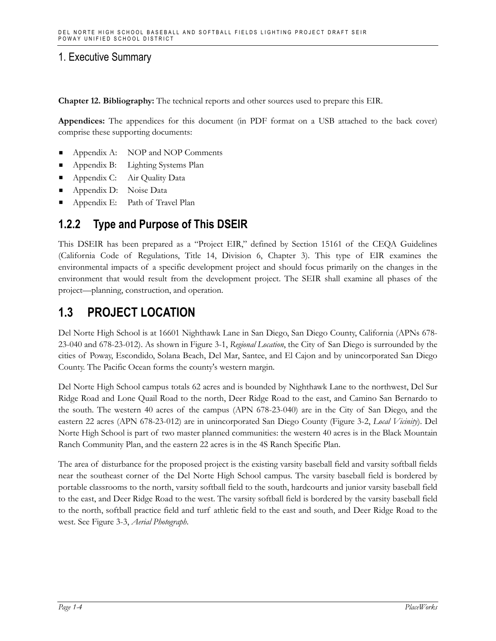**Chapter 12. Bibliography:** The technical reports and other sources used to prepare this EIR.

**Appendices:** The appendices for this document (in PDF format on a USB attached to the back cover) comprise these supporting documents:

- Appendix A: NOP and NOP Comments
- Appendix B: Lighting Systems Plan
- Appendix C: Air Quality Data
- Appendix D: Noise Data
- **Appendix E:** Path of Travel Plan

### **1.2.2 Type and Purpose of This DSEIR**

This DSEIR has been prepared as a "Project EIR," defined by Section 15161 of the CEQA Guidelines (California Code of Regulations, Title 14, Division 6, Chapter 3). This type of EIR examines the environmental impacts of a specific development project and should focus primarily on the changes in the environment that would result from the development project. The SEIR shall examine all phases of the project—planning, construction, and operation.

### **1.3 PROJECT LOCATION**

Del Norte High School is at 16601 Nighthawk Lane in San Diego, San Diego County, California (APNs 678- 23-040 and 678-23-012). As shown in Figure 3-1, *Regional Location*, the City of San Diego is surrounded by the cities of Poway, Escondido, Solana Beach, Del Mar, Santee, and El Cajon and by unincorporated San Diego County. The Pacific Ocean forms the county's western margin.

Del Norte High School campus totals 62 acres and is bounded by Nighthawk Lane to the northwest, Del Sur Ridge Road and Lone Quail Road to the north, Deer Ridge Road to the east, and Camino San Bernardo to the south. The western 40 acres of the campus (APN 678-23-040) are in the City of San Diego, and the eastern 22 acres (APN 678-23-012) are in unincorporated San Diego County (Figure 3-2, *Local Vicinity*). Del Norte High School is part of two master planned communities: the western 40 acres is in the Black Mountain Ranch Community Plan, and the eastern 22 acres is in the 4S Ranch Specific Plan.

The area of disturbance for the proposed project is the existing varsity baseball field and varsity softball fields near the southeast corner of the Del Norte High School campus. The varsity baseball field is bordered by portable classrooms to the north, varsity softball field to the south, hardcourts and junior varsity baseball field to the east, and Deer Ridge Road to the west. The varsity softball field is bordered by the varsity baseball field to the north, softball practice field and turf athletic field to the east and south, and Deer Ridge Road to the west. See Figure 3-3, *Aerial Photograph*.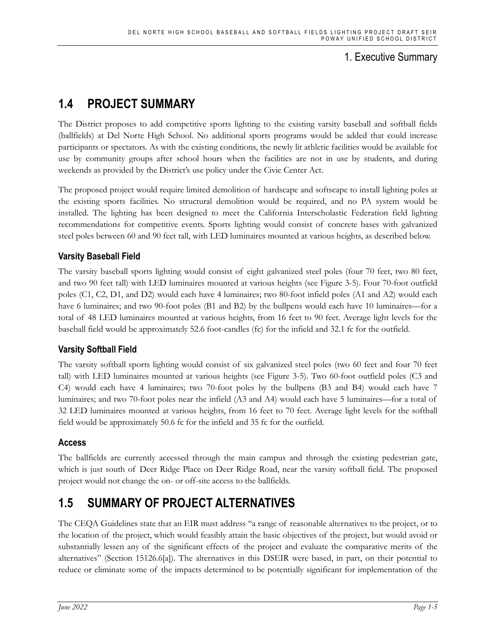# **1.4 PROJECT SUMMARY**

The District proposes to add competitive sports lighting to the existing varsity baseball and softball fields (ballfields) at Del Norte High School. No additional sports programs would be added that could increase participants or spectators. As with the existing conditions, the newly lit athletic facilities would be available for use by community groups after school hours when the facilities are not in use by students, and during weekends as provided by the District's use policy under the Civic Center Act.

The proposed project would require limited demolition of hardscape and softscape to install lighting poles at the existing sports facilities. No structural demolition would be required, and no PA system would be installed. The lighting has been designed to meet the California Interscholastic Federation field lighting recommendations for competitive events. Sports lighting would consist of concrete bases with galvanized steel poles between 60 and 90 feet tall, with LED luminaires mounted at various heights, as described below.

#### **Varsity Baseball Field**

The varsity baseball sports lighting would consist of eight galvanized steel poles (four 70 feet, two 80 feet, and two 90 feet tall) with LED luminaires mounted at various heights (see Figure 3-5). Four 70-foot outfield poles (C1, C2, D1, and D2) would each have 4 luminaires; two 80-foot infield poles (A1 and A2) would each have 6 luminaires; and two 90-foot poles (B1 and B2) by the bullpens would each have 10 luminaires—for a total of 48 LED luminaires mounted at various heights, from 16 feet to 90 feet. Average light levels for the baseball field would be approximately 52.6 foot-candles (fc) for the infield and 32.1 fc for the outfield.

#### **Varsity Softball Field**

The varsity softball sports lighting would consist of six galvanized steel poles (two 60 feet and four 70 feet tall) with LED luminaires mounted at various heights (see Figure 3-5). Two 60-foot outfield poles (C3 and C4) would each have 4 luminaires; two 70-foot poles by the bullpens (B3 and B4) would each have 7 luminaires; and two 70-foot poles near the infield (A3 and A4) would each have 5 luminaires—for a total of 32 LED luminaires mounted at various heights, from 16 feet to 70 feet. Average light levels for the softball field would be approximately 50.6 fc for the infield and 35 fc for the outfield.

#### **Access**

The ballfields are currently accessed through the main campus and through the existing pedestrian gate, which is just south of Deer Ridge Place on Deer Ridge Road, near the varsity softball field. The proposed project would not change the on- or off-site access to the ballfields.

# **1.5 SUMMARY OF PROJECT ALTERNATIVES**

The CEQA Guidelines state that an EIR must address "a range of reasonable alternatives to the project, or to the location of the project, which would feasibly attain the basic objectives of the project, but would avoid or substantially lessen any of the significant effects of the project and evaluate the comparative merits of the alternatives" (Section 15126.6[a]). The alternatives in this DSEIR were based, in part, on their potential to reduce or eliminate some of the impacts determined to be potentially significant for implementation of the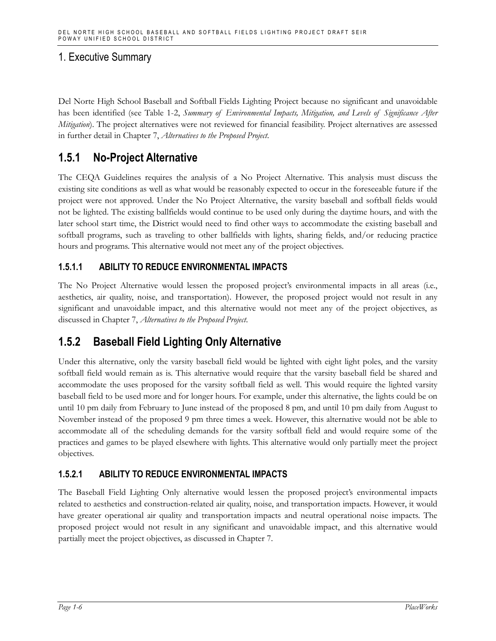Del Norte High School Baseball and Softball Fields Lighting Project because no significant and unavoidable has been identified (see Table 1-2, *Summary of Environmental Impacts, Mitigation, and Levels of Significance After Mitigation*). The project alternatives were not reviewed for financial feasibility. Project alternatives are assessed in further detail in Chapter 7, *Alternatives to the Proposed Project*.

### **1.5.1 No-Project Alternative**

The CEQA Guidelines requires the analysis of a No Project Alternative. This analysis must discuss the existing site conditions as well as what would be reasonably expected to occur in the foreseeable future if the project were not approved. Under the No Project Alternative, the varsity baseball and softball fields would not be lighted. The existing ballfields would continue to be used only during the daytime hours, and with the later school start time, the District would need to find other ways to accommodate the existing baseball and softball programs, such as traveling to other ballfields with lights, sharing fields, and/or reducing practice hours and programs. This alternative would not meet any of the project objectives.

#### **1.5.1.1 ABILITY TO REDUCE ENVIRONMENTAL IMPACTS**

The No Project Alternative would lessen the proposed project's environmental impacts in all areas (i.e., aesthetics, air quality, noise, and transportation). However, the proposed project would not result in any significant and unavoidable impact, and this alternative would not meet any of the project objectives, as discussed in Chapter 7, *Alternatives to the Proposed Project*.

### **1.5.2 Baseball Field Lighting Only Alternative**

Under this alternative, only the varsity baseball field would be lighted with eight light poles, and the varsity softball field would remain as is. This alternative would require that the varsity baseball field be shared and accommodate the uses proposed for the varsity softball field as well. This would require the lighted varsity baseball field to be used more and for longer hours. For example, under this alternative, the lights could be on until 10 pm daily from February to June instead of the proposed 8 pm, and until 10 pm daily from August to November instead of the proposed 9 pm three times a week. However, this alternative would not be able to accommodate all of the scheduling demands for the varsity softball field and would require some of the practices and games to be played elsewhere with lights. This alternative would only partially meet the project objectives.

#### **1.5.2.1 ABILITY TO REDUCE ENVIRONMENTAL IMPACTS**

The Baseball Field Lighting Only alternative would lessen the proposed project's environmental impacts related to aesthetics and construction-related air quality, noise, and transportation impacts. However, it would have greater operational air quality and transportation impacts and neutral operational noise impacts. The proposed project would not result in any significant and unavoidable impact, and this alternative would partially meet the project objectives, as discussed in Chapter 7.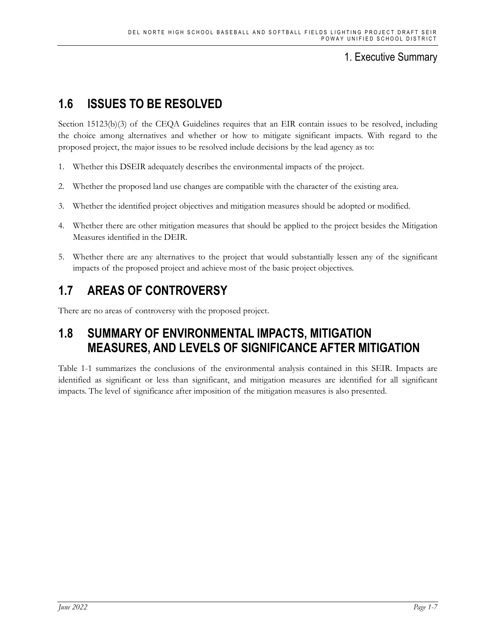# **1.6 ISSUES TO BE RESOLVED**

Section 15123(b)(3) of the CEQA Guidelines requires that an EIR contain issues to be resolved, including the choice among alternatives and whether or how to mitigate significant impacts. With regard to the proposed project, the major issues to be resolved include decisions by the lead agency as to:

- 1. Whether this DSEIR adequately describes the environmental impacts of the project.
- 2. Whether the proposed land use changes are compatible with the character of the existing area.
- 3. Whether the identified project objectives and mitigation measures should be adopted or modified.
- 4. Whether there are other mitigation measures that should be applied to the project besides the Mitigation Measures identified in the DEIR.
- 5. Whether there are any alternatives to the project that would substantially lessen any of the significant impacts of the proposed project and achieve most of the basic project objectives.

# **1.7 AREAS OF CONTROVERSY**

There are no areas of controversy with the proposed project.

# **1.8 SUMMARY OF ENVIRONMENTAL IMPACTS, MITIGATION MEASURES, AND LEVELS OF SIGNIFICANCE AFTER MITIGATION**

Table 1-1 summarizes the conclusions of the environmental analysis contained in this SEIR. Impacts are identified as significant or less than significant, and mitigation measures are identified for all significant impacts. The level of significance after imposition of the mitigation measures is also presented.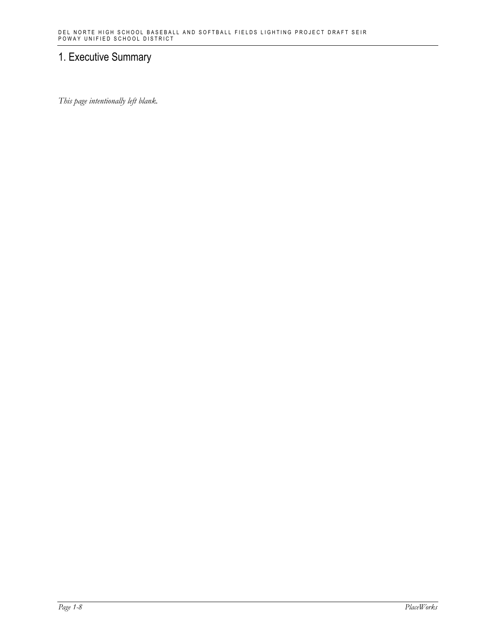*This page intentionally left blank.*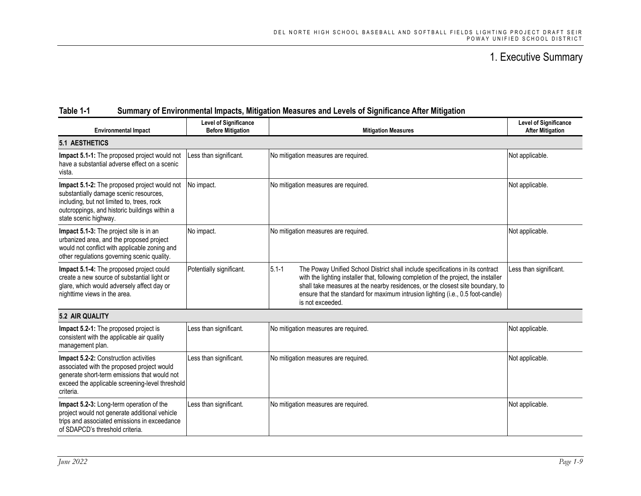#### **Table 1-1 Summary of Environmental Impacts, Mitigation Measures and Levels of Significance After Mitigation**

| <b>Environmental Impact</b>                                                                                                                                                                                    | <b>Level of Significance</b><br><b>Before Mitigation</b> | <b>Mitigation Measures</b>                                                                                                                                                                                                                                                                                                                                                   | <b>Level of Significance</b><br><b>After Mitigation</b> |  |  |
|----------------------------------------------------------------------------------------------------------------------------------------------------------------------------------------------------------------|----------------------------------------------------------|------------------------------------------------------------------------------------------------------------------------------------------------------------------------------------------------------------------------------------------------------------------------------------------------------------------------------------------------------------------------------|---------------------------------------------------------|--|--|
| <b>5.1 AESTHETICS</b>                                                                                                                                                                                          |                                                          |                                                                                                                                                                                                                                                                                                                                                                              |                                                         |  |  |
| Impact 5.1-1: The proposed project would not<br>have a substantial adverse effect on a scenic<br>vista.                                                                                                        | Less than significant.                                   | No mitigation measures are required.                                                                                                                                                                                                                                                                                                                                         | Not applicable.                                         |  |  |
| Impact 5.1-2: The proposed project would not<br>substantially damage scenic resources,<br>including, but not limited to, trees, rock<br>outcroppings, and historic buildings within a<br>state scenic highway. | No impact.                                               | No mitigation measures are required.                                                                                                                                                                                                                                                                                                                                         | Not applicable.                                         |  |  |
| Impact 5.1-3: The project site is in an<br>urbanized area, and the proposed project<br>would not conflict with applicable zoning and<br>other regulations governing scenic quality.                            | No impact.                                               | No mitigation measures are required.                                                                                                                                                                                                                                                                                                                                         | Not applicable.                                         |  |  |
| Impact 5.1-4: The proposed project could<br>create a new source of substantial light or<br>glare, which would adversely affect day or<br>nighttime views in the area.                                          | Potentially significant.                                 | $5.1 - 1$<br>The Poway Unified School District shall include specifications in its contract<br>with the lighting installer that, following completion of the project, the installer<br>shall take measures at the nearby residences, or the closest site boundary, to<br>ensure that the standard for maximum intrusion lighting (i.e., 0.5 foot-candle)<br>is not exceeded. | Less than significant.                                  |  |  |
| 5.2 AIR QUALITY                                                                                                                                                                                                |                                                          |                                                                                                                                                                                                                                                                                                                                                                              |                                                         |  |  |
| Impact 5.2-1: The proposed project is<br>consistent with the applicable air quality<br>management plan.                                                                                                        | Less than significant.                                   | No mitigation measures are required.                                                                                                                                                                                                                                                                                                                                         | Not applicable.                                         |  |  |
| Impact 5.2-2: Construction activities<br>associated with the proposed project would<br>generate short-term emissions that would not<br>exceed the applicable screening-level threshold<br>criteria.            | Less than significant.                                   | No mitigation measures are required.                                                                                                                                                                                                                                                                                                                                         | Not applicable.                                         |  |  |
| Impact 5.2-3: Long-term operation of the<br>project would not generate additional vehicle<br>trips and associated emissions in exceedance<br>of SDAPCD's threshold criteria.                                   | Less than significant.                                   | No mitigation measures are required.                                                                                                                                                                                                                                                                                                                                         | Not applicable.                                         |  |  |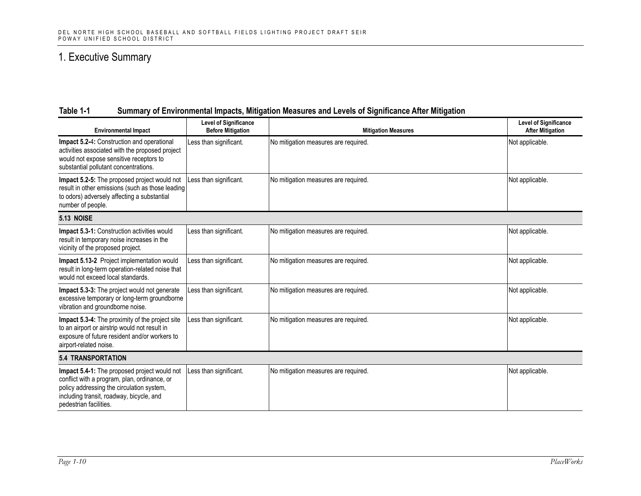#### **Table 1-1 Summary of Environmental Impacts, Mitigation Measures and Levels of Significance After Mitigation**

| <b>Environmental Impact</b>                                                                                                                                                                                     | <b>Level of Significance</b><br><b>Before Mitigation</b> | <b>Mitigation Measures</b>           | <b>Level of Significance</b><br><b>After Mitigation</b> |  |  |
|-----------------------------------------------------------------------------------------------------------------------------------------------------------------------------------------------------------------|----------------------------------------------------------|--------------------------------------|---------------------------------------------------------|--|--|
| Impact 5.2-4: Construction and operational<br>activities associated with the proposed project<br>would not expose sensitive receptors to<br>substantial pollutant concentrations.                               | Less than significant.                                   | No mitigation measures are required. | Not applicable.                                         |  |  |
| Impact 5.2-5: The proposed project would not<br>result in other emissions (such as those leading<br>to odors) adversely affecting a substantial<br>number of people.                                            | Less than significant.                                   | No mitigation measures are required. | Not applicable.                                         |  |  |
| 5.13 NOISE                                                                                                                                                                                                      |                                                          |                                      |                                                         |  |  |
| <b>Impact 5.3-1:</b> Construction activities would<br>result in temporary noise increases in the<br>vicinity of the proposed project.                                                                           | Less than significant.                                   | No mitigation measures are required. | Not applicable.                                         |  |  |
| <b>Impact 5.13-2</b> Project implementation would<br>result in long-term operation-related noise that<br>would not exceed local standards.                                                                      | Less than significant.                                   | No mitigation measures are required. | Not applicable.                                         |  |  |
| Impact 5.3-3: The project would not generate<br>excessive temporary or long-term groundborne<br>vibration and groundborne noise.                                                                                | Less than significant.                                   | No mitigation measures are required. | Not applicable.                                         |  |  |
| Impact 5.3-4: The proximity of the project site<br>to an airport or airstrip would not result in<br>exposure of future resident and/or workers to<br>airport-related noise.                                     | Less than significant.                                   | No mitigation measures are required. | Not applicable.                                         |  |  |
| <b>5.4 TRANSPORTATION</b>                                                                                                                                                                                       |                                                          |                                      |                                                         |  |  |
| Impact 5.4-1: The proposed project would not<br>conflict with a program, plan, ordinance, or<br>policy addressing the circulation system,<br>including transit, roadway, bicycle, and<br>pedestrian facilities. | Less than significant.                                   | No mitigation measures are required. | Not applicable.                                         |  |  |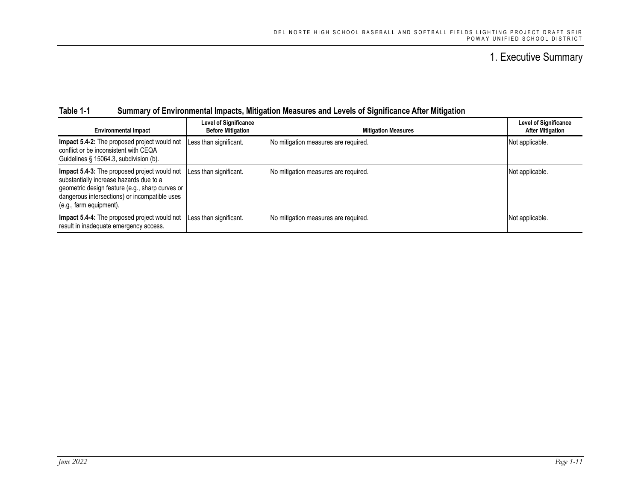#### **Table 1-1 Summary of Environmental Impacts, Mitigation Measures and Levels of Significance After Mitigation**

| <b>Environmental Impact</b>                                                                                                                                                                                            | <b>Level of Significance</b><br><b>Before Mitigation</b> | <b>Mitigation Measures</b>           | <b>Level of Significance</b><br><b>After Mitigation</b> |
|------------------------------------------------------------------------------------------------------------------------------------------------------------------------------------------------------------------------|----------------------------------------------------------|--------------------------------------|---------------------------------------------------------|
| Impact 5.4-2: The proposed project would not<br>conflict or be inconsistent with CEQA<br>Guidelines § 15064.3, subdivision (b).                                                                                        | Less than significant.                                   | No mitigation measures are required. | Not applicable.                                         |
| Impact 5.4-3: The proposed project would not<br>substantially increase hazards due to a<br>geometric design feature (e.g., sharp curves or<br>dangerous intersections) or incompatible uses<br>(e.g., farm equipment). | Less than significant.                                   | No mitigation measures are required. | Not applicable.                                         |
| Impact 5.4-4: The proposed project would not<br>result in inadequate emergency access.                                                                                                                                 | Less than significant.                                   | No mitigation measures are required. | Not applicable.                                         |